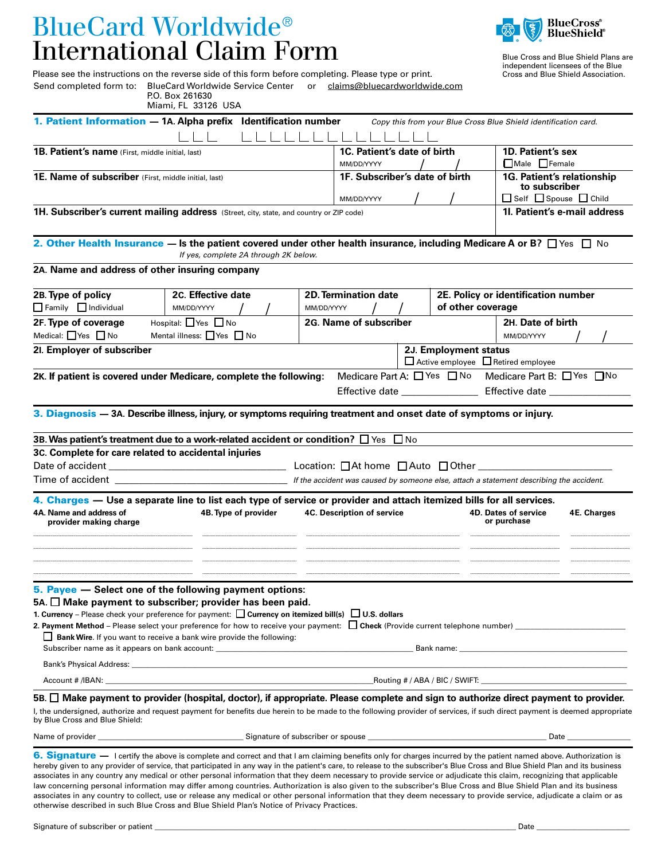# BlueCard Worldwide® International Claim Form



Blue Cross and Blue Shield Plans are independent licensees of the Blue Cross and Blue Shield Association.

Please see the instructions on the reverse side of this form before completing. Please type or print. Send completed form to: BlueCard Worldwide Service Center or [claims@bluecardworldwide.com](mailto:claims@bluecardworldwide.com) P.O. Box 261630

| Miami, FL 33126 USA                                                                                                                                                                                                                                                                                                         |                                           |                                                                |  |                                                                                       |                                                                                                                                             |  |
|-----------------------------------------------------------------------------------------------------------------------------------------------------------------------------------------------------------------------------------------------------------------------------------------------------------------------------|-------------------------------------------|----------------------------------------------------------------|--|---------------------------------------------------------------------------------------|---------------------------------------------------------------------------------------------------------------------------------------------|--|
| 1. Patient Information - 1A. Alpha prefix Identification number                                                                                                                                                                                                                                                             |                                           |                                                                |  |                                                                                       | Copy this from your Blue Cross Blue Shield identification card.                                                                             |  |
| 1B. Patient's name (First, middle initial, last)                                                                                                                                                                                                                                                                            | 1C. Patient's date of birth<br>MM/DD/YYYY |                                                                |  | 1D. Patient's sex<br>$\Box$ Male $\Box$ Female                                        |                                                                                                                                             |  |
| <b>1E. Name of subscriber</b> (First, middle initial, last)                                                                                                                                                                                                                                                                 | 1F. Subscriber's date of birth            |                                                                |  | 1G. Patient's relationship<br>to subscriber<br>$\Box$ Self $\Box$ Spouse $\Box$ Child |                                                                                                                                             |  |
| 1H. Subscriber's current mailing address (Street, city, state, and country or ZIP code)                                                                                                                                                                                                                                     |                                           | MM/DD/YYYY                                                     |  |                                                                                       | 1l. Patient's e-mail address                                                                                                                |  |
| 2. Other Health Insurance — Is the patient covered under other health insurance, including Medicare A or B? $\Box$ Yes $\Box$ No                                                                                                                                                                                            | If yes, complete 2A through 2K below.     |                                                                |  |                                                                                       |                                                                                                                                             |  |
| 2A. Name and address of other insuring company                                                                                                                                                                                                                                                                              |                                           |                                                                |  |                                                                                       |                                                                                                                                             |  |
| 2B. Type of policy<br>2C. Effective date<br>Family Individual<br>MM/DD/YYYY                                                                                                                                                                                                                                                 |                                           | <b>2D. Termination date</b><br>of other coverage<br>MM/DD/YYYY |  |                                                                                       | 2E. Policy or identification number                                                                                                         |  |
| 2F. Type of coverage<br>Hospital: Yes □ No<br>Medical: $\Box$ Yes $\Box$ No<br>Mental illness: $\Box$ Yes $\Box$ No                                                                                                                                                                                                         |                                           | 2G. Name of subscriber                                         |  |                                                                                       | 2H. Date of birth<br>MM/DD/YYYY                                                                                                             |  |
| 21. Employer of subscriber                                                                                                                                                                                                                                                                                                  |                                           | 2J. Employment status<br>□ Active employee □ Retired employee  |  |                                                                                       |                                                                                                                                             |  |
| 2K. If patient is covered under Medicare, complete the following:                                                                                                                                                                                                                                                           |                                           |                                                                |  |                                                                                       | Medicare Part A: □ Yes □ No Medicare Part B: □ Yes □ No<br>Effective date __________________________ Effective date _______________________ |  |
| 3. Diagnosis - 3A. Describe illness, injury, or symptoms requiring treatment and onset date of symptoms or injury.                                                                                                                                                                                                          |                                           |                                                                |  |                                                                                       |                                                                                                                                             |  |
| 3B. Was patient's treatment due to a work-related accident or condition? $\Box$ Yes $\Box$ No                                                                                                                                                                                                                               |                                           |                                                                |  |                                                                                       |                                                                                                                                             |  |
| 3C. Complete for care related to accidental injuries                                                                                                                                                                                                                                                                        |                                           |                                                                |  |                                                                                       |                                                                                                                                             |  |
|                                                                                                                                                                                                                                                                                                                             |                                           |                                                                |  |                                                                                       |                                                                                                                                             |  |
| Time of accident and the state of a state of a state of a state of a state of a state of a state of a state of                                                                                                                                                                                                              |                                           |                                                                |  |                                                                                       | If the accident was caused by someone else, attach a statement describing the accident.                                                     |  |
| 4. Charges — Use a separate line to list each type of service or provider and attach itemized bills for all services.<br>4A. Name and address of<br>provider making charge                                                                                                                                                  | 4B. Type of provider                      | <b>4C. Description of service</b>                              |  |                                                                                       | <b>4D. Dates of service</b><br>4E. Charges<br>or purchase                                                                                   |  |
|                                                                                                                                                                                                                                                                                                                             |                                           |                                                                |  |                                                                                       |                                                                                                                                             |  |
| 5. Payee - Select one of the following payment options:<br>5A. $\Box$ Make payment to subscriber; provider has been paid.<br>1. Currency – Please check your preference for payment: $\Box$ Currency on itemized bill(s) $\Box$ U.S. dollars<br>$\Box$ Bank Wire. If you want to receive a bank wire provide the following: |                                           |                                                                |  |                                                                                       |                                                                                                                                             |  |
|                                                                                                                                                                                                                                                                                                                             |                                           |                                                                |  |                                                                                       |                                                                                                                                             |  |
| 5B. $\Box$ Make payment to provider (hospital, doctor), if appropriate. Please complete and sign to authorize direct payment to provider.                                                                                                                                                                                   |                                           |                                                                |  |                                                                                       |                                                                                                                                             |  |
| I, the undersigned, authorize and request payment for benefits due herein to be made to the following provider of services, if such direct payment is deemed appropriate<br>by Blue Cross and Blue Shield:                                                                                                                  |                                           |                                                                |  |                                                                                       |                                                                                                                                             |  |
| Date                                                                                                                                                                                                                                                                                                                        |                                           |                                                                |  |                                                                                       |                                                                                                                                             |  |
| 6. Signature - I certify the above is complete and correct and that I am claiming benefits only for charges incurred by the patient named above. Authorization is                                                                                                                                                           |                                           |                                                                |  |                                                                                       |                                                                                                                                             |  |

hereby given to any provider of service, that participated in any way in the patient's care, to release to the subscriber's Blue Cross and Blue Shield Plan and its business associates in any country any medical or other personal information that they deem necessary to provide service or adjudicate this claim, recognizing that applicable law concerning personal information may differ among countries. Authorization is also given to the subscriber's Blue Cross and Blue Shield Plan and its business associates in any country to collect, use or release any medical or other personal information that they deem necessary to provide service, adjudicate a claim or as otherwise described in such Blue Cross and Blue Shield Plan's Notice of Privacy Practices.